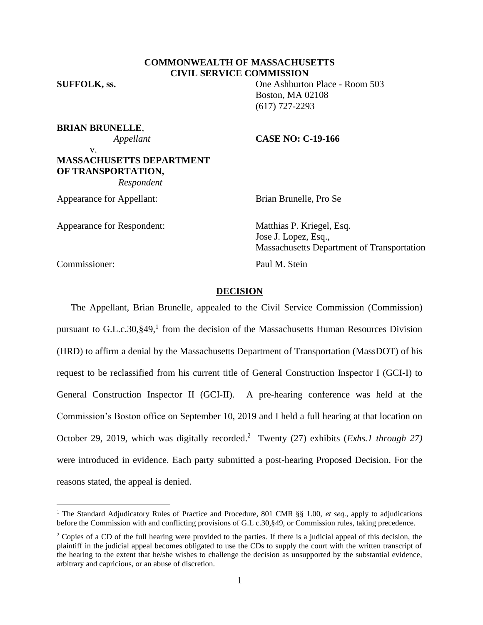# **COMMONWEALTH OF MASSACHUSETTS CIVIL SERVICE COMMISSION**

**SUFFOLK, ss.** One Ashburton Place - Room 503

**BRIAN BRUNELLE**,

v.

## *Appellant* **CASE NO: C-19-166**

Boston, MA 02108 (617) 727-2293

# **MASSACHUSETTS DEPARTMENT OF TRANSPORTATION,**  *Respondent*

Appearance for Appellant: Brian Brunelle, Pro Se

Appearance for Respondent: Matthias P. Kriegel, Esq.

Jose J. Lopez, Esq., Massachusetts Department of Transportation Commissioner: Paul M. Stein

## **DECISION**

The Appellant, Brian Brunelle, appealed to the Civil Service Commission (Commission) pursuant to  $G.L.c.30$ , §49,<sup>1</sup> from the decision of the Massachusetts Human Resources Division (HRD) to affirm a denial by the Massachusetts Department of Transportation (MassDOT) of his request to be reclassified from his current title of General Construction Inspector I (GCI-I) to General Construction Inspector II (GCI-II). A pre-hearing conference was held at the Commission's Boston office on September 10, 2019 and I held a full hearing at that location on October 29, 2019, which was digitally recorded.<sup>2</sup> Twenty (27) exhibits (*Exhs.1 through 27*) were introduced in evidence. Each party submitted a post-hearing Proposed Decision. For the reasons stated, the appeal is denied.

<sup>&</sup>lt;sup>1</sup> The Standard Adjudicatory Rules of Practice and Procedure, 801 CMR §§ 1.00, et seq., apply to adjudications before the Commission with and conflicting provisions of G.L c.30,§49, or Commission rules, taking precedence.

 $2$  Copies of a CD of the full hearing were provided to the parties. If there is a judicial appeal of this decision, the plaintiff in the judicial appeal becomes obligated to use the CDs to supply the court with the written transcript of the hearing to the extent that he/she wishes to challenge the decision as unsupported by the substantial evidence, arbitrary and capricious, or an abuse of discretion.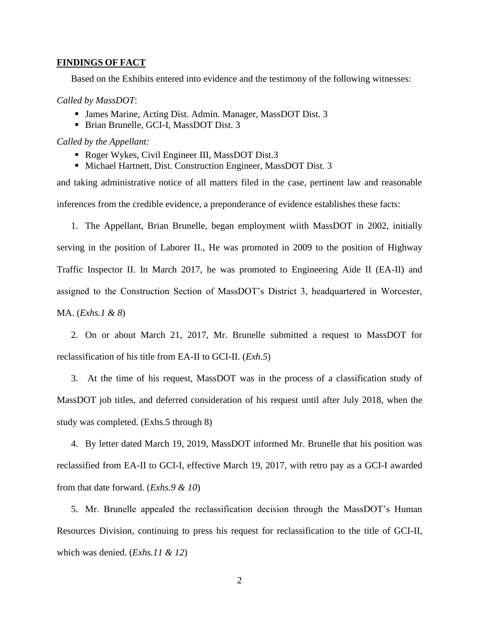## **FINDINGS OF FACT**

Based on the Exhibits entered into evidence and the testimony of the following witnesses:

### *Called by MassDOT*:

- James Marine, Acting Dist. Admin. Manager, MassDOT Dist. 3
- Brian Brunelle, GCI-I, MassDOT Dist. 3

*Called by the Appellant:*

- Roger Wykes, Civil Engineer III, MassDOT Dist.3
- Michael Hartnett, Dist. Construction Engineer, MassDOT Dist. 3

and taking administrative notice of all matters filed in the case, pertinent law and reasonable inferences from the credible evidence, a preponderance of evidence establishes these facts:

1. The Appellant, Brian Brunelle, began employment wiith MassDOT in 2002, initially serving in the position of Laborer II., He was promoted in 2009 to the position of Highway Traffic Inspector II. In March 2017, he was promoted to Engineering Aide II (EA-II) and assigned to the Construction Section of MassDOT's District 3, headquartered in Worcester, MA. (*Exhs.1 & 8*)

2. On or about March 21, 2017, Mr. Brunelle submitted a request to MassDOT for reclassification of his title from EA-II to GCI-II. (*Exh.5*)

3. At the time of his request, MassDOT was in the process of a classification study of MassDOT job titles, and deferred consideration of his request until after July 2018, when the study was completed. (Exhs.5 through 8)

4. By letter dated March 19, 2019, MassDOT informed Mr. Brunelle that his position was reclassified from EA-II to GCI-I, effective March 19, 2017, with retro pay as a GCI-I awarded from that date forward. (*Exhs.9 & 10*)

5. Mr. Brunelle appealed the reclassification decision through the MassDOT's Human Resources Division, continuing to press his request for reclassification to the title of GCI-II, which was denied. (*Exhs.11 & 12*)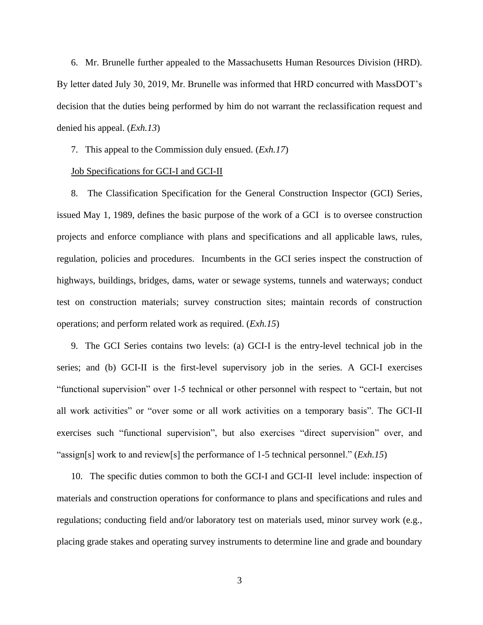6. Mr. Brunelle further appealed to the Massachusetts Human Resources Division (HRD). By letter dated July 30, 2019, Mr. Brunelle was informed that HRD concurred with MassDOT's decision that the duties being performed by him do not warrant the reclassification request and denied his appeal. (*Exh.13*)

7. This appeal to the Commission duly ensued. (*Exh.17*)

## Job Specifications for GCI-I and GCI-II

8. The Classification Specification for the General Construction Inspector (GCI) Series, issued May 1, 1989, defines the basic purpose of the work of a GCI is to oversee construction projects and enforce compliance with plans and specifications and all applicable laws, rules, regulation, policies and procedures. Incumbents in the GCI series inspect the construction of highways, buildings, bridges, dams, water or sewage systems, tunnels and waterways; conduct test on construction materials; survey construction sites; maintain records of construction operations; and perform related work as required. (*Exh.15*)

9. The GCI Series contains two levels: (a) GCI-I is the entry-level technical job in the series; and (b) GCI-II is the first-level supervisory job in the series. A GCI-I exercises "functional supervision" over 1-5 technical or other personnel with respect to "certain, but not all work activities" or "over some or all work activities on a temporary basis". The GCI-II exercises such "functional supervision", but also exercises "direct supervision" over, and "assign[s] work to and review[s] the performance of 1-5 technical personnel." (*Exh.15*)

10. The specific duties common to both the GCI-I and GCI-II level include: inspection of materials and construction operations for conformance to plans and specifications and rules and regulations; conducting field and/or laboratory test on materials used, minor survey work (e.g., placing grade stakes and operating survey instruments to determine line and grade and boundary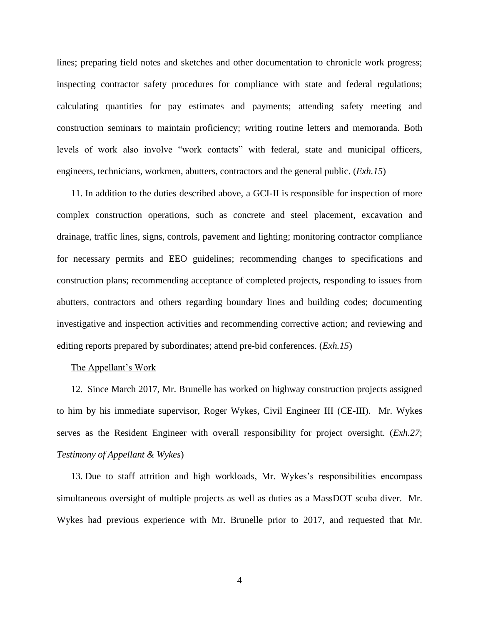lines; preparing field notes and sketches and other documentation to chronicle work progress; inspecting contractor safety procedures for compliance with state and federal regulations; calculating quantities for pay estimates and payments; attending safety meeting and construction seminars to maintain proficiency; writing routine letters and memoranda. Both levels of work also involve "work contacts" with federal, state and municipal officers, engineers, technicians, workmen, abutters, contractors and the general public. (*Exh.15*)

11. In addition to the duties described above, a GCI-II is responsible for inspection of more complex construction operations, such as concrete and steel placement, excavation and drainage, traffic lines, signs, controls, pavement and lighting; monitoring contractor compliance for necessary permits and EEO guidelines; recommending changes to specifications and construction plans; recommending acceptance of completed projects, responding to issues from abutters, contractors and others regarding boundary lines and building codes; documenting investigative and inspection activities and recommending corrective action; and reviewing and editing reports prepared by subordinates; attend pre-bid conferences. (*Exh.15*)

## The Appellant's Work

12. Since March 2017, Mr. Brunelle has worked on highway construction projects assigned to him by his immediate supervisor, Roger Wykes, Civil Engineer III (CE-III). Mr. Wykes serves as the Resident Engineer with overall responsibility for project oversight. (*Exh.27*; *Testimony of Appellant & Wykes*)

13. Due to staff attrition and high workloads, Mr. Wykes's responsibilities encompass simultaneous oversight of multiple projects as well as duties as a MassDOT scuba diver. Mr. Wykes had previous experience with Mr. Brunelle prior to 2017, and requested that Mr.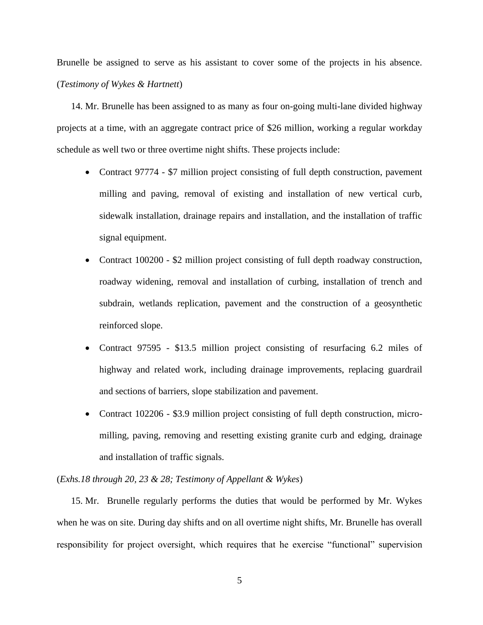Brunelle be assigned to serve as his assistant to cover some of the projects in his absence. (*Testimony of Wykes & Hartnett*)

14. Mr. Brunelle has been assigned to as many as four on-going multi-lane divided highway projects at a time, with an aggregate contract price of \$26 million, working a regular workday schedule as well two or three overtime night shifts. These projects include:

- Contract 97774 \$7 million project consisting of full depth construction, pavement milling and paving, removal of existing and installation of new vertical curb, sidewalk installation, drainage repairs and installation, and the installation of traffic signal equipment.
- Contract 100200 \$2 million project consisting of full depth roadway construction, roadway widening, removal and installation of curbing, installation of trench and subdrain, wetlands replication, pavement and the construction of a geosynthetic reinforced slope.
- Contract 97595 \$13.5 million project consisting of resurfacing 6.2 miles of highway and related work, including drainage improvements, replacing guardrail and sections of barriers, slope stabilization and pavement.
- Contract 102206 \$3.9 million project consisting of full depth construction, micromilling, paving, removing and resetting existing granite curb and edging, drainage and installation of traffic signals.

# (*Exhs.18 through 20, 23 & 28; Testimony of Appellant & Wykes*)

15. Mr. Brunelle regularly performs the duties that would be performed by Mr. Wykes when he was on site. During day shifts and on all overtime night shifts, Mr. Brunelle has overall responsibility for project oversight, which requires that he exercise "functional" supervision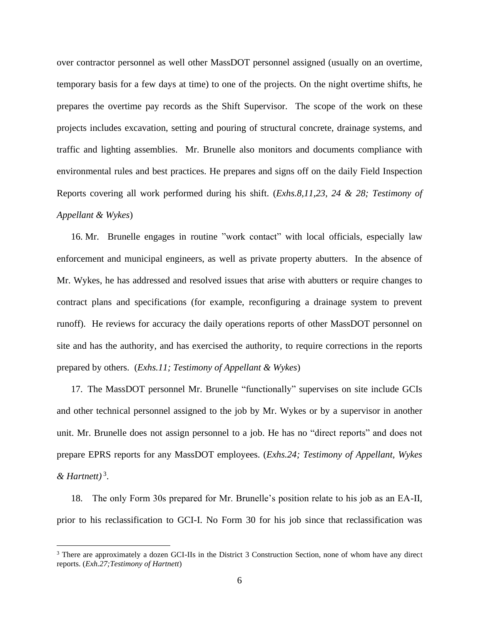over contractor personnel as well other MassDOT personnel assigned (usually on an overtime, temporary basis for a few days at time) to one of the projects. On the night overtime shifts, he prepares the overtime pay records as the Shift Supervisor. The scope of the work on these projects includes excavation, setting and pouring of structural concrete, drainage systems, and traffic and lighting assemblies. Mr. Brunelle also monitors and documents compliance with environmental rules and best practices. He prepares and signs off on the daily Field Inspection Reports covering all work performed during his shift. (*Exhs.8,11,23, 24 & 28; Testimony of Appellant & Wykes*)

16. Mr. Brunelle engages in routine "work contact" with local officials, especially law enforcement and municipal engineers, as well as private property abutters. In the absence of Mr. Wykes, he has addressed and resolved issues that arise with abutters or require changes to contract plans and specifications (for example, reconfiguring a drainage system to prevent runoff). He reviews for accuracy the daily operations reports of other MassDOT personnel on site and has the authority, and has exercised the authority, to require corrections in the reports prepared by others. (*Exhs.11; Testimony of Appellant & Wykes*)

17. The MassDOT personnel Mr. Brunelle "functionally" supervises on site include GCIs and other technical personnel assigned to the job by Mr. Wykes or by a supervisor in another unit. Mr. Brunelle does not assign personnel to a job. He has no "direct reports" and does not prepare EPRS reports for any MassDOT employees. (*Exhs.24; Testimony of Appellant, Wykes & Hartnett)* <sup>3</sup> .

18. The only Form 30s prepared for Mr. Brunelle's position relate to his job as an EA-II, prior to his reclassification to GCI-I. No Form 30 for his job since that reclassification was

<sup>&</sup>lt;sup>3</sup> There are approximately a dozen GCI-IIs in the District 3 Construction Section, none of whom have any direct reports. (*Exh.27;Testimony of Hartnett*)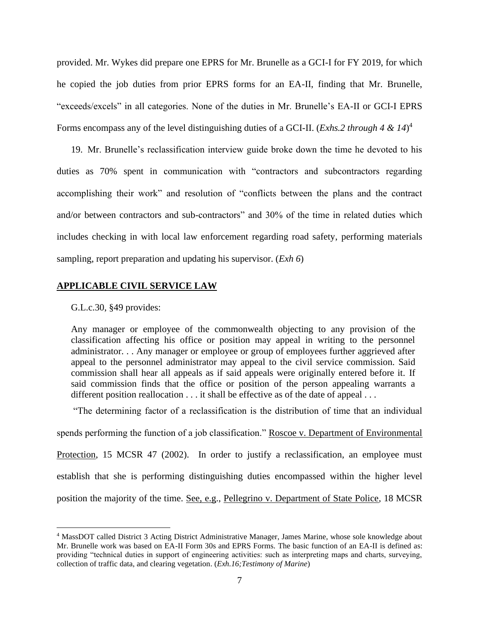provided. Mr. Wykes did prepare one EPRS for Mr. Brunelle as a GCI-I for FY 2019, for which he copied the job duties from prior EPRS forms for an EA-II, finding that Mr. Brunelle, "exceeds/excels" in all categories. None of the duties in Mr. Brunelle's EA-II or GCI-I EPRS Forms encompass any of the level distinguishing duties of a GCI-II. (*Exhs.2 through 4 & 14*) 4

19. Mr. Brunelle's reclassification interview guide broke down the time he devoted to his duties as 70% spent in communication with "contractors and subcontractors regarding accomplishing their work" and resolution of "conflicts between the plans and the contract and/or between contractors and sub-contractors" and 30% of the time in related duties which includes checking in with local law enforcement regarding road safety, performing materials sampling, report preparation and updating his supervisor. (*Exh 6*)

# **APPLICABLE CIVIL SERVICE LAW**

G.L.c.30, §49 provides:

Any manager or employee of the commonwealth objecting to any provision of the classification affecting his office or position may appeal in writing to the personnel administrator. . . Any manager or employee or group of employees further aggrieved after appeal to the personnel administrator may appeal to the civil service commission. Said commission shall hear all appeals as if said appeals were originally entered before it. If said commission finds that the office or position of the person appealing warrants a different position reallocation . . . it shall be effective as of the date of appeal . . .

"The determining factor of a reclassification is the distribution of time that an individual

spends performing the function of a job classification." Roscoe v. Department of Environmental Protection, 15 MCSR 47 (2002). In order to justify a reclassification, an employee must establish that she is performing distinguishing duties encompassed within the higher level position the majority of the time. See, e.g., Pellegrino v. Department of State Police, 18 MCSR

<sup>4</sup> MassDOT called District 3 Acting District Administrative Manager, James Marine, whose sole knowledge about Mr. Brunelle work was based on EA-II Form 30s and EPRS Forms. The basic function of an EA-II is defined as: providing "technical duties in support of engineering activities: such as interpreting maps and charts, surveying, collection of traffic data, and clearing vegetation. (*Exh.16;Testimony of Marine*)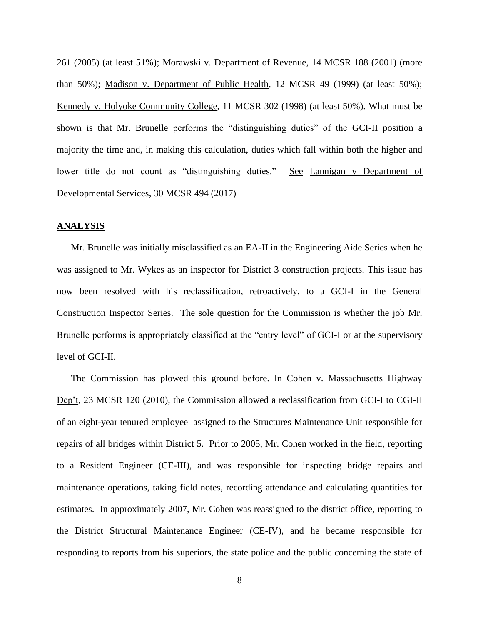261 (2005) (at least 51%); Morawski v. Department of Revenue, 14 MCSR 188 (2001) (more than 50%); Madison v. Department of Public Health, 12 MCSR 49 (1999) (at least 50%); Kennedy v. Holyoke Community College, 11 MCSR 302 (1998) (at least 50%). What must be shown is that Mr. Brunelle performs the "distinguishing duties" of the GCI-II position a majority the time and, in making this calculation, duties which fall within both the higher and lower title do not count as "distinguishing duties." See Lannigan v Department of Developmental Services, 30 MCSR 494 (2017)

## **ANALYSIS**

Mr. Brunelle was initially misclassified as an EA-II in the Engineering Aide Series when he was assigned to Mr. Wykes as an inspector for District 3 construction projects. This issue has now been resolved with his reclassification, retroactively, to a GCI-I in the General Construction Inspector Series. The sole question for the Commission is whether the job Mr. Brunelle performs is appropriately classified at the "entry level" of GCI-I or at the supervisory level of GCI-II.

The Commission has plowed this ground before. In Cohen v. Massachusetts Highway Dep't, 23 MCSR 120 (2010), the Commission allowed a reclassification from GCI-I to CGI-II of an eight-year tenured employee assigned to the Structures Maintenance Unit responsible for repairs of all bridges within District 5. Prior to 2005, Mr. Cohen worked in the field, reporting to a Resident Engineer (CE-III), and was responsible for inspecting bridge repairs and maintenance operations, taking field notes, recording attendance and calculating quantities for estimates. In approximately 2007, Mr. Cohen was reassigned to the district office, reporting to the District Structural Maintenance Engineer (CE-IV), and he became responsible for responding to reports from his superiors, the state police and the public concerning the state of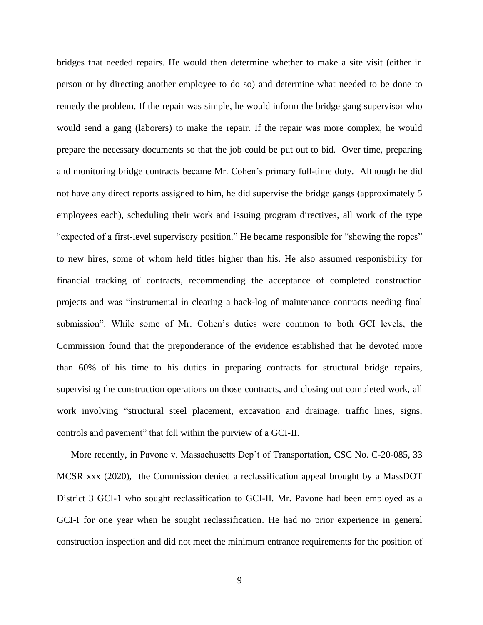bridges that needed repairs. He would then determine whether to make a site visit (either in person or by directing another employee to do so) and determine what needed to be done to remedy the problem. If the repair was simple, he would inform the bridge gang supervisor who would send a gang (laborers) to make the repair. If the repair was more complex, he would prepare the necessary documents so that the job could be put out to bid. Over time, preparing and monitoring bridge contracts became Mr. Cohen's primary full-time duty. Although he did not have any direct reports assigned to him, he did supervise the bridge gangs (approximately 5 employees each), scheduling their work and issuing program directives, all work of the type "expected of a first-level supervisory position." He became responsible for "showing the ropes" to new hires, some of whom held titles higher than his. He also assumed responisbility for financial tracking of contracts, recommending the acceptance of completed construction projects and was "instrumental in clearing a back-log of maintenance contracts needing final submission". While some of Mr. Cohen's duties were common to both GCI levels, the Commission found that the preponderance of the evidence established that he devoted more than 60% of his time to his duties in preparing contracts for structural bridge repairs, supervising the construction operations on those contracts, and closing out completed work, all work involving "structural steel placement, excavation and drainage, traffic lines, signs, controls and pavement" that fell within the purview of a GCI-II.

More recently, in Pavone v. Massachusetts Dep't of Transportation, CSC No. C-20-085, 33 MCSR xxx (2020), the Commission denied a reclassification appeal brought by a MassDOT District 3 GCI-1 who sought reclassification to GCI-II. Mr. Pavone had been employed as a GCI-I for one year when he sought reclassification. He had no prior experience in general construction inspection and did not meet the minimum entrance requirements for the position of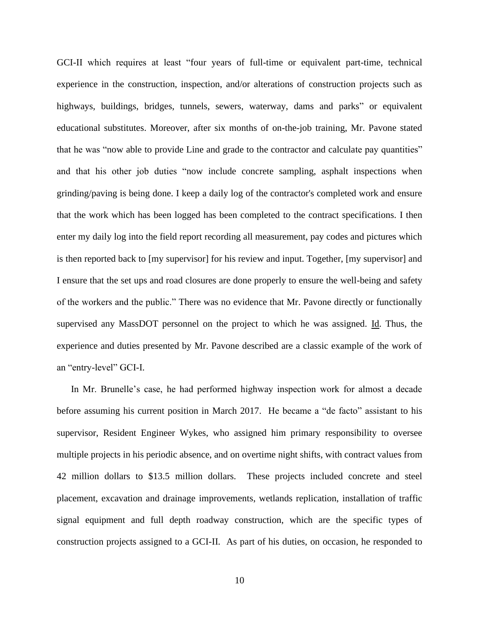GCI-II which requires at least "four years of full-time or equivalent part-time, technical experience in the construction, inspection, and/or alterations of construction projects such as highways, buildings, bridges, tunnels, sewers, waterway, dams and parks" or equivalent educational substitutes. Moreover, after six months of on-the-job training, Mr. Pavone stated that he was "now able to provide Line and grade to the contractor and calculate pay quantities" and that his other job duties "now include concrete sampling, asphalt inspections when grinding/paving is being done. I keep a daily log of the contractor's completed work and ensure that the work which has been logged has been completed to the contract specifications. I then enter my daily log into the field report recording all measurement, pay codes and pictures which is then reported back to [my supervisor] for his review and input. Together, [my supervisor] and I ensure that the set ups and road closures are done properly to ensure the well-being and safety of the workers and the public." There was no evidence that Mr. Pavone directly or functionally supervised any MassDOT personnel on the project to which he was assigned. Id. Thus, the experience and duties presented by Mr. Pavone described are a classic example of the work of an "entry-level" GCI-I.

In Mr. Brunelle's case, he had performed highway inspection work for almost a decade before assuming his current position in March 2017. He became a "de facto" assistant to his supervisor, Resident Engineer Wykes, who assigned him primary responsibility to oversee multiple projects in his periodic absence, and on overtime night shifts, with contract values from 42 million dollars to \$13.5 million dollars. These projects included concrete and steel placement, excavation and drainage improvements, wetlands replication, installation of traffic signal equipment and full depth roadway construction, which are the specific types of construction projects assigned to a GCI-II. As part of his duties, on occasion, he responded to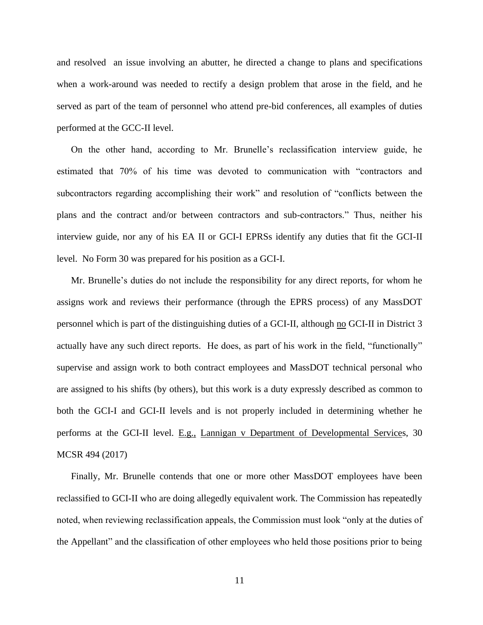and resolved an issue involving an abutter, he directed a change to plans and specifications when a work-around was needed to rectify a design problem that arose in the field, and he served as part of the team of personnel who attend pre-bid conferences, all examples of duties performed at the GCC-II level.

On the other hand, according to Mr. Brunelle's reclassification interview guide, he estimated that 70% of his time was devoted to communication with "contractors and subcontractors regarding accomplishing their work" and resolution of "conflicts between the plans and the contract and/or between contractors and sub-contractors." Thus, neither his interview guide, nor any of his EA II or GCI-I EPRSs identify any duties that fit the GCI-II level. No Form 30 was prepared for his position as a GCI-I.

Mr. Brunelle's duties do not include the responsibility for any direct reports, for whom he assigns work and reviews their performance (through the EPRS process) of any MassDOT personnel which is part of the distinguishing duties of a GCI-II, although no GCI-II in District 3 actually have any such direct reports. He does, as part of his work in the field, "functionally" supervise and assign work to both contract employees and MassDOT technical personal who are assigned to his shifts (by others), but this work is a duty expressly described as common to both the GCI-I and GCI-II levels and is not properly included in determining whether he performs at the GCI-II level. E.g., Lannigan v Department of Developmental Services, 30 MCSR 494 (2017)

Finally, Mr. Brunelle contends that one or more other MassDOT employees have been reclassified to GCI-II who are doing allegedly equivalent work. The Commission has repeatedly noted, when reviewing reclassification appeals, the Commission must look "only at the duties of the Appellant" and the classification of other employees who held those positions prior to being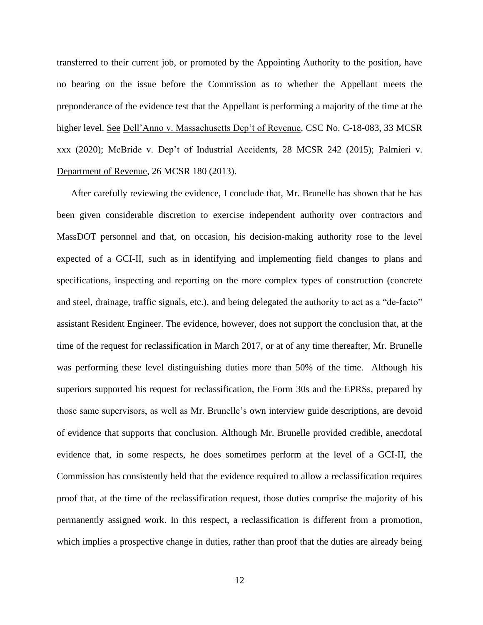transferred to their current job, or promoted by the Appointing Authority to the position, have no bearing on the issue before the Commission as to whether the Appellant meets the preponderance of the evidence test that the Appellant is performing a majority of the time at the higher level. See Dell'Anno v. Massachusetts Dep't of Revenue, CSC No. C-18-083, 33 MCSR xxx (2020); McBride v. Dep't of Industrial Accidents, 28 MCSR 242 (2015); Palmieri v. Department of Revenue, 26 MCSR 180 (2013).

After carefully reviewing the evidence, I conclude that, Mr. Brunelle has shown that he has been given considerable discretion to exercise independent authority over contractors and MassDOT personnel and that, on occasion, his decision-making authority rose to the level expected of a GCI-II, such as in identifying and implementing field changes to plans and specifications, inspecting and reporting on the more complex types of construction (concrete and steel, drainage, traffic signals, etc.), and being delegated the authority to act as a "de-facto" assistant Resident Engineer. The evidence, however, does not support the conclusion that, at the time of the request for reclassification in March 2017, or at of any time thereafter, Mr. Brunelle was performing these level distinguishing duties more than 50% of the time. Although his superiors supported his request for reclassification, the Form 30s and the EPRSs, prepared by those same supervisors, as well as Mr. Brunelle's own interview guide descriptions, are devoid of evidence that supports that conclusion. Although Mr. Brunelle provided credible, anecdotal evidence that, in some respects, he does sometimes perform at the level of a GCI-II, the Commission has consistently held that the evidence required to allow a reclassification requires proof that, at the time of the reclassification request, those duties comprise the majority of his permanently assigned work. In this respect, a reclassification is different from a promotion, which implies a prospective change in duties, rather than proof that the duties are already being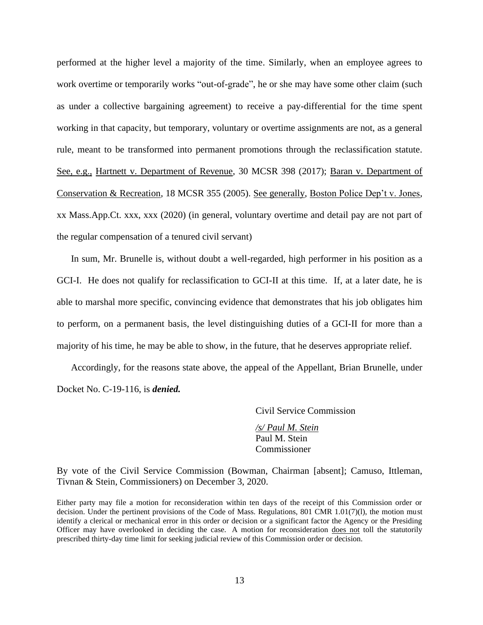performed at the higher level a majority of the time. Similarly, when an employee agrees to work overtime or temporarily works "out-of-grade", he or she may have some other claim (such as under a collective bargaining agreement) to receive a pay-differential for the time spent working in that capacity, but temporary, voluntary or overtime assignments are not, as a general rule, meant to be transformed into permanent promotions through the reclassification statute. See, e.g., Hartnett v. Department of Revenue, 30 MCSR 398 (2017); Baran v. Department of Conservation & Recreation, 18 MCSR 355 (2005). See generally, Boston Police Dep't v. Jones, xx Mass.App.Ct. xxx, xxx (2020) (in general, voluntary overtime and detail pay are not part of the regular compensation of a tenured civil servant)

In sum, Mr. Brunelle is, without doubt a well-regarded, high performer in his position as a GCI-I. He does not qualify for reclassification to GCI-II at this time. If, at a later date, he is able to marshal more specific, convincing evidence that demonstrates that his job obligates him to perform, on a permanent basis, the level distinguishing duties of a GCI-II for more than a majority of his time, he may be able to show, in the future, that he deserves appropriate relief.

Accordingly, for the reasons state above, the appeal of the Appellant, Brian Brunelle, under Docket No. C-19-116, is *denied.*

Civil Service Commission

*/s/ Paul M. Stein* Paul M. Stein Commissioner

By vote of the Civil Service Commission (Bowman, Chairman [absent]; Camuso, Ittleman, Tivnan & Stein, Commissioners) on December 3, 2020.

Either party may file a motion for reconsideration within ten days of the receipt of this Commission order or decision. Under the pertinent provisions of the Code of Mass. Regulations, 801 CMR 1.01(7)(l), the motion must identify a clerical or mechanical error in this order or decision or a significant factor the Agency or the Presiding Officer may have overlooked in deciding the case. A motion for reconsideration does not toll the statutorily prescribed thirty-day time limit for seeking judicial review of this Commission order or decision.